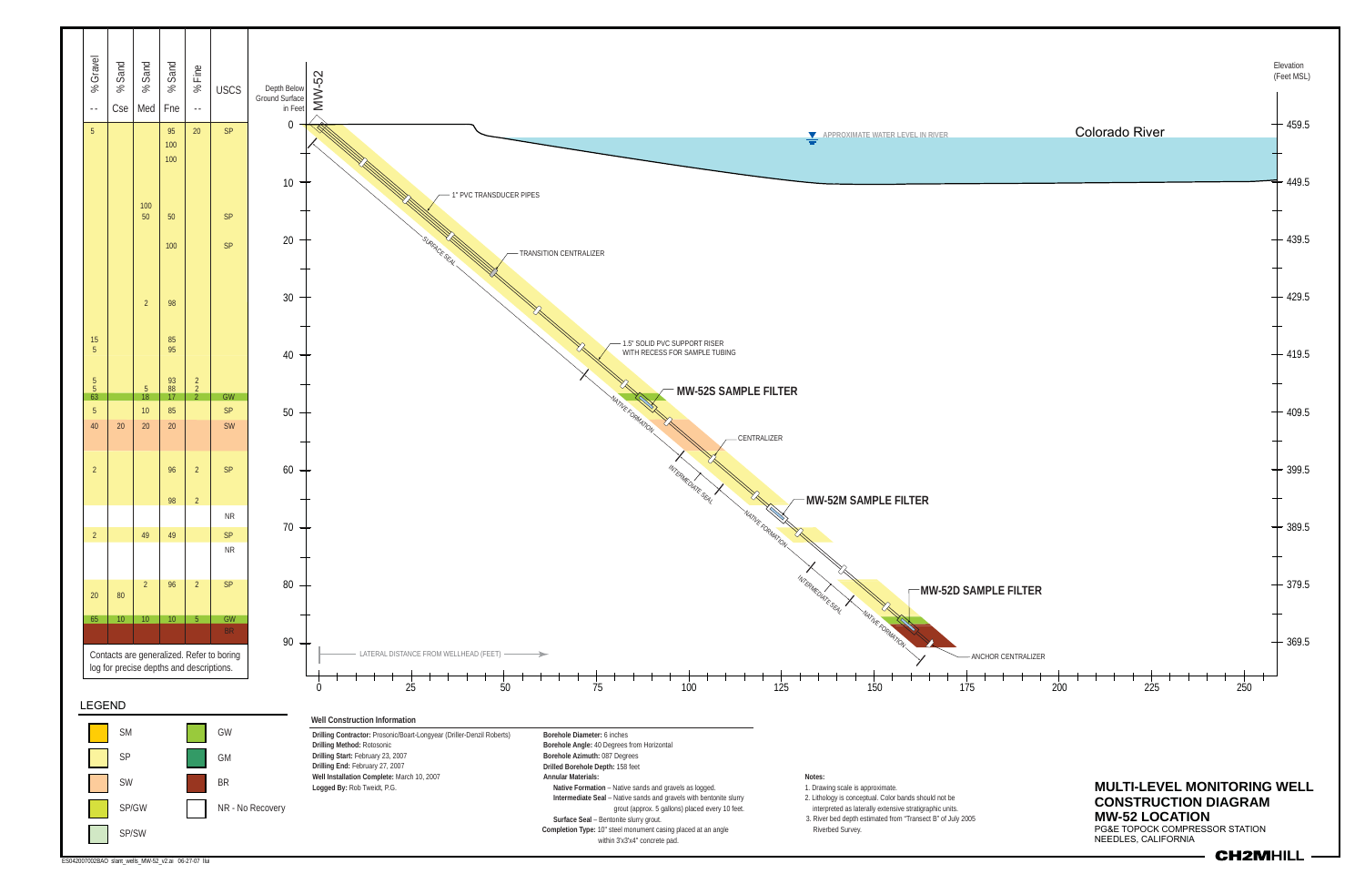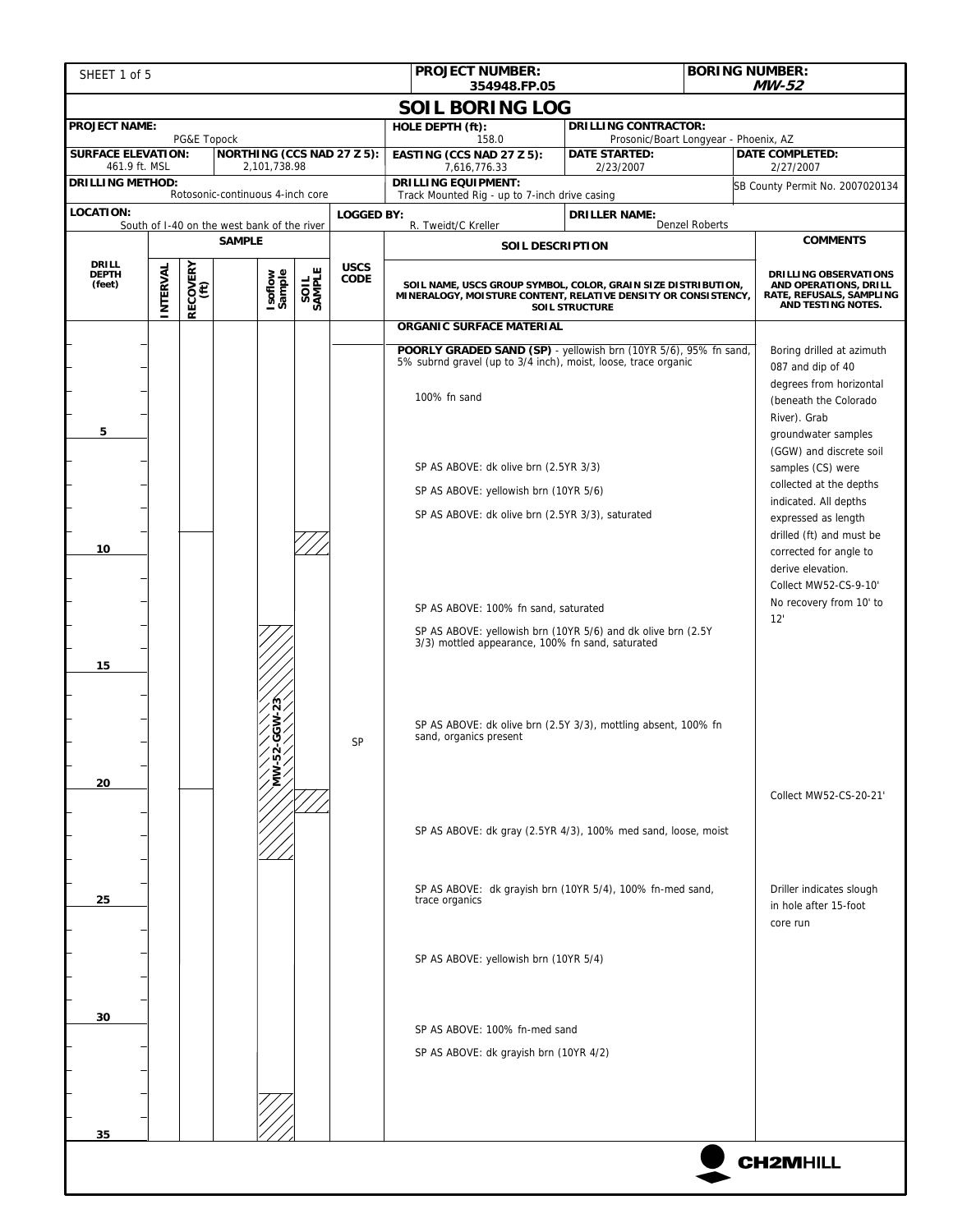| SHEET 1 of 5                                                                         |          |                  |                                   |                                                                                                                                                                                           |    | <b>PROJECT NUMBER:</b>                                                                                                                             | <b>BORING NUMBER:</b>                                                 |                                                                                                                                                                      |                                                                                                  |  |
|--------------------------------------------------------------------------------------|----------|------------------|-----------------------------------|-------------------------------------------------------------------------------------------------------------------------------------------------------------------------------------------|----|----------------------------------------------------------------------------------------------------------------------------------------------------|-----------------------------------------------------------------------|----------------------------------------------------------------------------------------------------------------------------------------------------------------------|--------------------------------------------------------------------------------------------------|--|
| <b>MW-52</b><br>354948.FP.05<br><b>SOIL BORING LOG</b>                               |          |                  |                                   |                                                                                                                                                                                           |    |                                                                                                                                                    |                                                                       |                                                                                                                                                                      |                                                                                                  |  |
| <b>PROJECT NAME:</b>                                                                 |          |                  |                                   |                                                                                                                                                                                           |    | HOLE DEPTH (ft):                                                                                                                                   | <b>DRILLING CONTRACTOR:</b>                                           |                                                                                                                                                                      |                                                                                                  |  |
| <b>SURFACE ELEVATION:</b>                                                            |          | PG&E Topock      | <b>NORTHING (CCS NAD 27 Z 5):</b> |                                                                                                                                                                                           |    | 158.0<br>EASTING (CCS NAD 27 Z 5):                                                                                                                 | Prosonic/Boart Longyear - Phoenix, AZ<br><b>DATE STARTED:</b>         |                                                                                                                                                                      | <b>DATE COMPLETED:</b>                                                                           |  |
| 461.9 ft. MSL                                                                        |          |                  | 2,101,738.98                      |                                                                                                                                                                                           |    | 7,616,776.33                                                                                                                                       | 2/23/2007                                                             |                                                                                                                                                                      | 2/27/2007                                                                                        |  |
| <b>DRILLING METHOD:</b><br>Rotosonic-continuous 4-inch core                          |          |                  |                                   |                                                                                                                                                                                           |    | <b>DRILLING EQUIPMENT:</b><br>Track Mounted Rig - up to 7-inch drive casing                                                                        |                                                                       |                                                                                                                                                                      | SB County Permit No. 2007020134                                                                  |  |
| <b>LOCATION:</b><br><b>LOGGED BY:</b><br>South of I-40 on the west bank of the river |          |                  |                                   |                                                                                                                                                                                           |    | R. Tweidt/C Kreller                                                                                                                                | <b>DRILLER NAME:</b>                                                  | <b>Denzel Roberts</b>                                                                                                                                                |                                                                                                  |  |
| <b>SAMPLE</b>                                                                        |          |                  |                                   |                                                                                                                                                                                           |    | <b>SOIL DESCRIPTION</b>                                                                                                                            |                                                                       |                                                                                                                                                                      | <b>COMMENTS</b>                                                                                  |  |
| <b>DRILL</b><br><b>DEPTH</b><br>(feet)                                               | INTERVAL | RECOVERY<br>(ft) | Isoflow<br>Sample                 | <b>USCS</b><br>SAMPLE<br>CODE<br>SOIL NAME, USCS GROUP SYMBOL, COLOR, GRAIN SIZE DISTRIBUTION,<br>MINERALOGY, MOISTURE CONTENT, RELATIVE DENSITY OR CONSISTENCY,<br><b>SOIL STRUCTURE</b> |    |                                                                                                                                                    |                                                                       |                                                                                                                                                                      | DRILLING OBSERVATIONS<br>AND OPERATIONS, DRILL<br>RATE, REFUSALS, SAMPLING<br>AND TESTING NOTES. |  |
|                                                                                      |          |                  |                                   |                                                                                                                                                                                           |    | <b>ORGANIC SURFACE MATERIAL</b>                                                                                                                    |                                                                       |                                                                                                                                                                      |                                                                                                  |  |
| 5                                                                                    |          |                  |                                   |                                                                                                                                                                                           |    | POORLY GRADED SAND (SP) - yellowish brn (10YR 5/6), 95% fn sand,<br>5% subrnd gravel (up to 3/4 inch), moist, loose, trace organic<br>100% fn sand |                                                                       | Boring drilled at azimuth<br>087 and dip of 40<br>degrees from horizontal<br>(beneath the Colorado<br>River). Grab<br>groundwater samples<br>(GGW) and discrete soil |                                                                                                  |  |
|                                                                                      |          |                  |                                   |                                                                                                                                                                                           |    | SP AS ABOVE: dk olive brn (2.5YR 3/3)                                                                                                              | samples (CS) were<br>collected at the depths<br>indicated. All depths |                                                                                                                                                                      |                                                                                                  |  |
|                                                                                      |          |                  |                                   |                                                                                                                                                                                           |    | SP AS ABOVE: yellowish brn (10YR 5/6)                                                                                                              |                                                                       |                                                                                                                                                                      |                                                                                                  |  |
|                                                                                      |          |                  |                                   |                                                                                                                                                                                           |    | SP AS ABOVE: dk olive brn (2.5YR 3/3), saturated                                                                                                   |                                                                       | expressed as length                                                                                                                                                  |                                                                                                  |  |
| 10                                                                                   |          |                  |                                   |                                                                                                                                                                                           |    | SP AS ABOVE: 100% fn sand, saturated<br>SP AS ABOVE: yellowish brn (10YR 5/6) and dk olive brn (2.5Y                                               |                                                                       | drilled (ft) and must be<br>corrected for angle to<br>derive elevation.<br>Collect MW52-CS-9-10'<br>No recovery from 10' to<br>12'                                   |                                                                                                  |  |
| 15                                                                                   |          |                  |                                   |                                                                                                                                                                                           | SP | 3/3) mottled appearance, 100% fn sand, saturated<br>SP AS ABOVE: dk olive brn (2.5Y 3/3), mottling absent, 100% fn<br>sand, organics present       |                                                                       |                                                                                                                                                                      |                                                                                                  |  |
| 20                                                                                   |          |                  |                                   |                                                                                                                                                                                           |    | SP AS ABOVE: dk gray (2.5YR 4/3), 100% med sand, loose, moist                                                                                      |                                                                       |                                                                                                                                                                      | Collect MW52-CS-20-21'                                                                           |  |
| 25                                                                                   |          |                  |                                   |                                                                                                                                                                                           |    | SP AS ABOVE: dk grayish brn (10YR 5/4), 100% fn-med sand,<br>trace organics                                                                        |                                                                       |                                                                                                                                                                      | Driller indicates slough<br>in hole after 15-foot<br>core run                                    |  |
|                                                                                      |          |                  |                                   |                                                                                                                                                                                           |    |                                                                                                                                                    | SP AS ABOVE: yellowish brn (10YR 5/4)                                 |                                                                                                                                                                      |                                                                                                  |  |
| 30                                                                                   |          |                  |                                   |                                                                                                                                                                                           |    |                                                                                                                                                    |                                                                       |                                                                                                                                                                      |                                                                                                  |  |
|                                                                                      |          |                  |                                   |                                                                                                                                                                                           |    | SP AS ABOVE: 100% fn-med sand<br>SP AS ABOVE: dk grayish brn (10YR 4/2)                                                                            |                                                                       |                                                                                                                                                                      |                                                                                                  |  |
|                                                                                      |          |                  |                                   |                                                                                                                                                                                           |    |                                                                                                                                                    |                                                                       |                                                                                                                                                                      |                                                                                                  |  |
|                                                                                      |          |                  |                                   |                                                                                                                                                                                           |    |                                                                                                                                                    |                                                                       |                                                                                                                                                                      |                                                                                                  |  |
| 35                                                                                   |          |                  |                                   |                                                                                                                                                                                           |    |                                                                                                                                                    |                                                                       |                                                                                                                                                                      |                                                                                                  |  |
|                                                                                      |          |                  |                                   |                                                                                                                                                                                           |    |                                                                                                                                                    |                                                                       |                                                                                                                                                                      | <b>CH2MHILL</b>                                                                                  |  |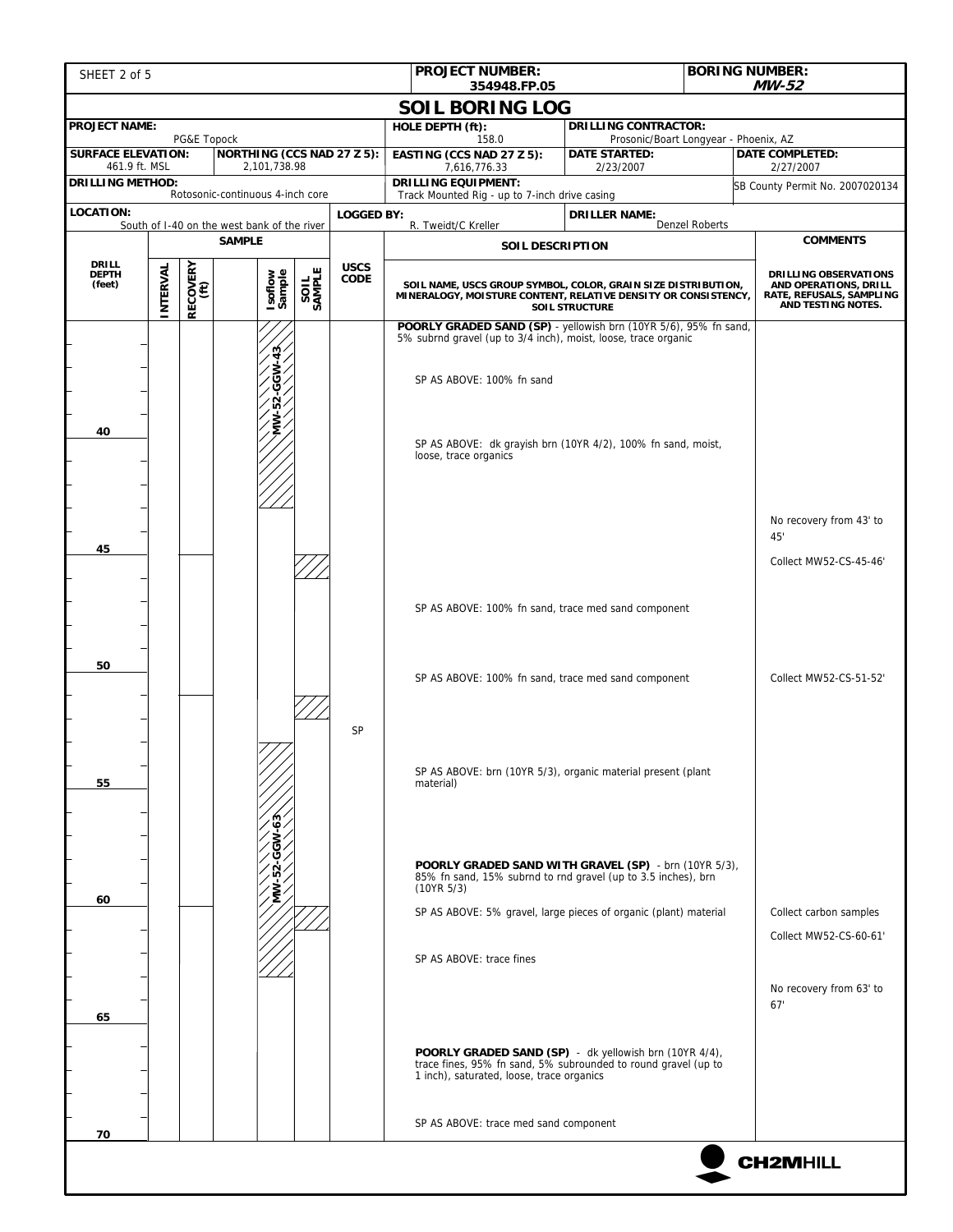| SHEET 2 of 5                                                 |          |                  |                                   |        |             | <b>BORING NUMBER:</b><br><b>PROJECT NUMBER:</b><br>354948.FP.05                                                                                                                                          |                                                                                                                                                          | MW-52          |                                                                                                         |
|--------------------------------------------------------------|----------|------------------|-----------------------------------|--------|-------------|----------------------------------------------------------------------------------------------------------------------------------------------------------------------------------------------------------|----------------------------------------------------------------------------------------------------------------------------------------------------------|----------------|---------------------------------------------------------------------------------------------------------|
|                                                              |          |                  |                                   |        |             |                                                                                                                                                                                                          |                                                                                                                                                          |                |                                                                                                         |
| <b>PROJECT NAME:</b>                                         |          |                  |                                   |        |             | <b>SOIL BORING LOG</b><br>HOLE DEPTH (ft):                                                                                                                                                               | <b>DRILLING CONTRACTOR:</b>                                                                                                                              |                |                                                                                                         |
| <b>SURFACE ELEVATION:</b>                                    |          | PG&E Topock      | <b>NORTHING (CCS NAD 27 Z 5):</b> |        |             | 158.0<br>EASTING (CCS NAD 27 Z 5):                                                                                                                                                                       | Prosonic/Boart Longyear - Phoenix, AZ<br><b>DATE STARTED:</b>                                                                                            |                | <b>DATE COMPLETED:</b>                                                                                  |
| 461.9 ft. MSL                                                |          |                  | 2,101,738.98                      |        |             | 7,616,776.33                                                                                                                                                                                             | 2/23/2007                                                                                                                                                |                | 2/27/2007                                                                                               |
| <b>DRILLING METHOD:</b><br>Rotosonic-continuous 4-inch core  |          |                  |                                   |        |             | <b>DRILLING EQUIPMENT:</b><br>Track Mounted Rig - up to 7-inch drive casing                                                                                                                              |                                                                                                                                                          |                | SB County Permit No. 2007020134                                                                         |
| <b>LOCATION:</b><br><b>LOGGED BY:</b>                        |          |                  |                                   |        |             |                                                                                                                                                                                                          | <b>DRILLER NAME:</b>                                                                                                                                     |                |                                                                                                         |
| South of I-40 on the west bank of the river<br><b>SAMPLE</b> |          |                  |                                   |        |             | R. Tweidt/C Kreller<br><b>SOIL DESCRIPTION</b>                                                                                                                                                           |                                                                                                                                                          | Denzel Roberts | <b>COMMENTS</b>                                                                                         |
| <b>DRILL</b>                                                 |          |                  |                                   |        | <b>USCS</b> |                                                                                                                                                                                                          |                                                                                                                                                          |                |                                                                                                         |
| <b>DEPTH</b><br>(feet)                                       | INTERVAL | RECOVERY<br>(ft) | Isoflow<br>Sample                 | SAMPLE | CODE        |                                                                                                                                                                                                          | SOIL NAME, USCS GROUP SYMBOL, COLOR, GRAIN SIZE DISTRIBUTION,<br>MINERALOGY, MOISTURE CONTENT, RELATIVE DENSITY OR CONSISTENCY,<br><b>SOIL STRUCTURE</b> |                | <b>DRILLING OBSERVATIONS</b><br>AND OPERATIONS, DRILL<br>RATE, REFUSALS, SAMPLING<br>AND TESTING NOTES. |
|                                                              |          |                  |                                   |        |             | POORLY GRADED SAND (SP) - yellowish brn (10YR 5/6), 95% fn sand,<br>5% subrnd gravel (up to 3/4 inch), moist, loose, trace organic                                                                       |                                                                                                                                                          |                |                                                                                                         |
|                                                              |          |                  |                                   |        |             | SP AS ABOVE: 100% fn sand                                                                                                                                                                                |                                                                                                                                                          |                |                                                                                                         |
| 40                                                           |          |                  |                                   |        |             | SP AS ABOVE: dk grayish brn (10YR 4/2), 100% fn sand, moist,<br>loose, trace organics                                                                                                                    |                                                                                                                                                          |                |                                                                                                         |
|                                                              |          |                  |                                   |        |             |                                                                                                                                                                                                          |                                                                                                                                                          |                | No recovery from 43' to<br>45'                                                                          |
| 45                                                           |          |                  |                                   |        |             |                                                                                                                                                                                                          |                                                                                                                                                          |                | Collect MW52-CS-45-46'                                                                                  |
|                                                              |          |                  |                                   |        |             | SP AS ABOVE: 100% fn sand, trace med sand component                                                                                                                                                      |                                                                                                                                                          |                |                                                                                                         |
| 50                                                           |          |                  |                                   |        |             | SP AS ABOVE: 100% fn sand, trace med sand component                                                                                                                                                      |                                                                                                                                                          |                | Collect MW52-CS-51-52'                                                                                  |
| 55                                                           |          |                  |                                   |        | <b>SP</b>   | SP AS ABOVE: brn (10YR 5/3), organic material present (plant<br>material)                                                                                                                                |                                                                                                                                                          |                |                                                                                                         |
| 60                                                           |          |                  |                                   |        |             | POORLY GRADED SAND WITH GRAVEL (SP) - brn (10YR 5/3),<br>85% fn sand, 15% subrnd to rnd gravel (up to 3.5 inches), brn<br>(10YR 5/3)<br>SP AS ABOVE: 5% gravel, large pieces of organic (plant) material |                                                                                                                                                          |                | Collect carbon samples                                                                                  |
|                                                              |          |                  |                                   |        |             |                                                                                                                                                                                                          |                                                                                                                                                          |                | Collect MW52-CS-60-61'                                                                                  |
|                                                              |          |                  |                                   |        |             | SP AS ABOVE: trace fines                                                                                                                                                                                 |                                                                                                                                                          |                |                                                                                                         |
| 65                                                           |          |                  |                                   |        |             |                                                                                                                                                                                                          |                                                                                                                                                          |                | No recovery from 63' to<br>67'                                                                          |
|                                                              |          |                  |                                   |        |             | <b>POORLY GRADED SAND (SP)</b> - dk yellowish brn (10YR 4/4), trace fines, 95% fn sand, 5% subrounded to round gravel (up to<br>1 inch), saturated, loose, trace organics                                |                                                                                                                                                          |                |                                                                                                         |
| 70                                                           |          |                  |                                   |        |             | SP AS ABOVE: trace med sand component                                                                                                                                                                    |                                                                                                                                                          |                |                                                                                                         |
|                                                              |          |                  |                                   |        |             |                                                                                                                                                                                                          |                                                                                                                                                          |                | <b>CH2MHILL</b>                                                                                         |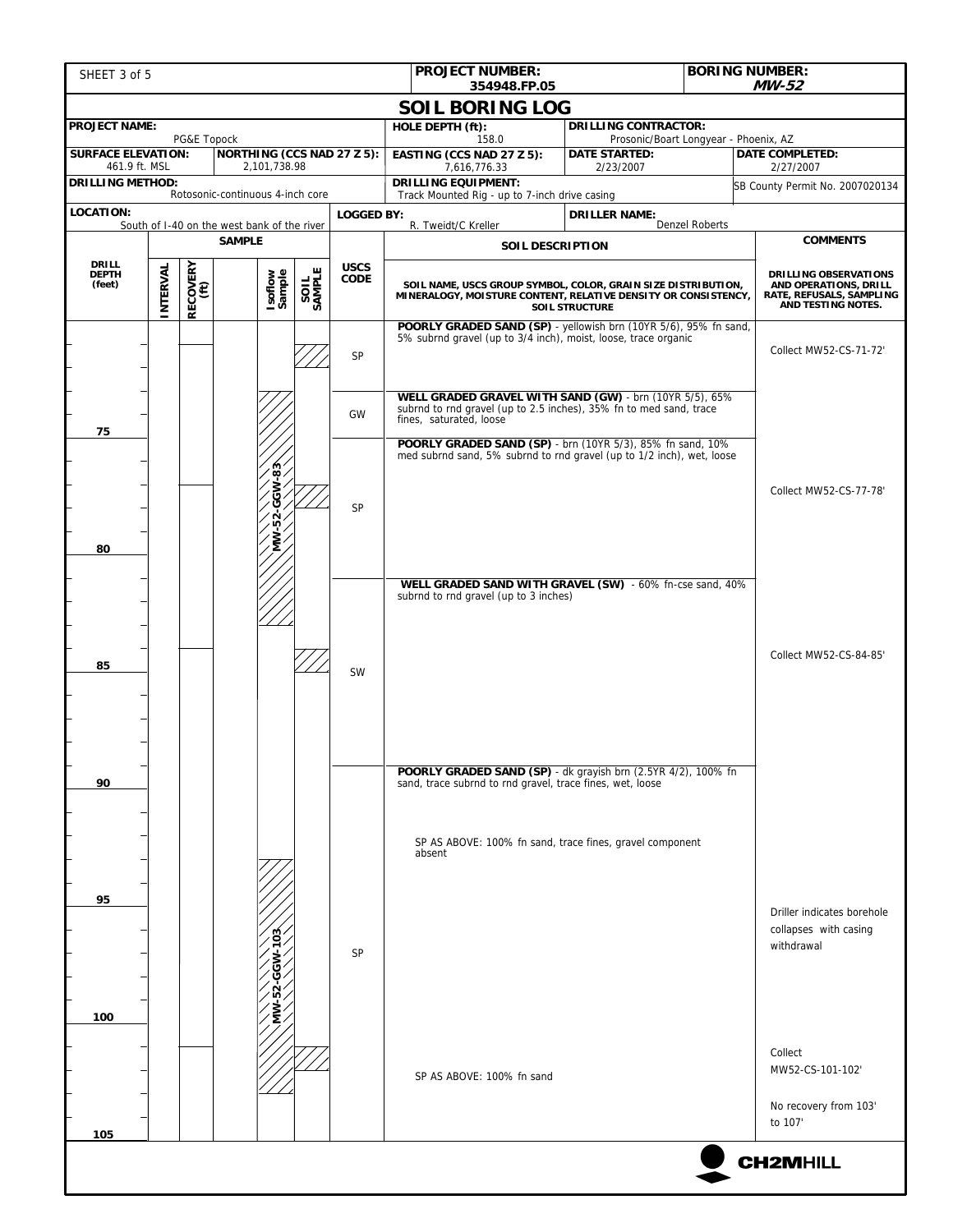| SHEET 3 of 5                                                                          |  |             |                                                              |  |                   | <b>PROJECT NUMBER:</b><br><b>BORING NUMBER:</b>                                                                                                          |                                                                                         | MW-52                       |                                                                                                         |  |
|---------------------------------------------------------------------------------------|--|-------------|--------------------------------------------------------------|--|-------------------|----------------------------------------------------------------------------------------------------------------------------------------------------------|-----------------------------------------------------------------------------------------|-----------------------------|---------------------------------------------------------------------------------------------------------|--|
|                                                                                       |  |             |                                                              |  |                   | 354948.FP.05<br><b>SOIL BORING LOG</b>                                                                                                                   |                                                                                         |                             |                                                                                                         |  |
| <b>PROJECT NAME:</b>                                                                  |  |             |                                                              |  |                   | HOLE DEPTH (ft):                                                                                                                                         |                                                                                         | <b>DRILLING CONTRACTOR:</b> |                                                                                                         |  |
| <b>SURFACE ELEVATION:</b>                                                             |  | PG&E Topock | <b>NORTHING (CCS NAD 27 Z 5):</b>                            |  |                   | 158.0<br>EASTING (CCS NAD 27 Z 5):                                                                                                                       | Prosonic/Boart Longyear - Phoenix, AZ<br><b>DATE STARTED:</b><br><b>DATE COMPLETED:</b> |                             |                                                                                                         |  |
| 461.9 ft. MSL                                                                         |  |             | 2,101,738.98                                                 |  |                   | 7,616,776.33                                                                                                                                             | 2/23/2007                                                                               |                             | 2/27/2007                                                                                               |  |
| <b>DRILLING METHOD:</b>                                                               |  |             | Rotosonic-continuous 4-inch core                             |  |                   | <b>DRILLING EQUIPMENT:</b><br>Track Mounted Rig - up to 7-inch drive casing                                                                              |                                                                                         |                             | SB County Permit No. 2007020134                                                                         |  |
| <b>LOCATION:</b>                                                                      |  |             |                                                              |  | <b>LOGGED BY:</b> |                                                                                                                                                          | <b>DRILLER NAME:</b>                                                                    | Denzel Roberts              |                                                                                                         |  |
|                                                                                       |  |             | South of I-40 on the west bank of the river<br><b>SAMPLE</b> |  |                   | R. Tweidt/C Kreller<br>SOIL DESCRIPTION                                                                                                                  |                                                                                         |                             | <b>COMMENTS</b>                                                                                         |  |
| <b>DRILL</b>                                                                          |  |             |                                                              |  | <b>USCS</b>       |                                                                                                                                                          |                                                                                         |                             |                                                                                                         |  |
| RECOVERY<br>(ft)<br>INTERVAL<br>SAMPLE<br>Isoflow<br>Sample<br><b>DEPTH</b><br>(feet) |  |             |                                                              |  | <b>CODE</b>       | SOIL NAME, USCS GROUP SYMBOL, COLOR, GRAIN SIZE DISTRIBUTION,<br>MINERALOGY, MOISTURE CONTENT, RELATIVE DENSITY OR CONSISTENCY,<br><b>SOIL STRUCTURE</b> |                                                                                         |                             | <b>DRILLING OBSERVATIONS</b><br>AND OPERATIONS, DRILL<br>RATE, REFUSALS, SAMPLING<br>AND TESTING NOTES. |  |
|                                                                                       |  |             |                                                              |  | SP                | POORLY GRADED SAND (SP) - yellowish brn (10YR 5/6), 95% fn sand,<br>5% subrnd gravel (up to 3/4 inch), moist, loose, trace organic                       |                                                                                         |                             | Collect MW52-CS-71-72'                                                                                  |  |
| 75                                                                                    |  |             |                                                              |  | GW                | WELL GRADED GRAVEL WITH SAND (GW) - brn (10YR 5/5), 65%<br>subrnd to rnd gravel (up to 2.5 inches), 35% fn to med sand, trace<br>fines, saturated, loose |                                                                                         |                             |                                                                                                         |  |
|                                                                                       |  |             | జ                                                            |  |                   | POORLY GRADED SAND (SP) - brn (10YR 5/3), 85% fn sand, 10%<br>med subrnd sand, 5% subrnd to rnd gravel (up to 1/2 inch), wet, loose                      |                                                                                         |                             |                                                                                                         |  |
| 80                                                                                    |  |             | Š<br>ن                                                       |  | SP                |                                                                                                                                                          |                                                                                         |                             | Collect MW52-CS-77-78'                                                                                  |  |
|                                                                                       |  |             |                                                              |  |                   | WELL GRADED SAND WITH GRAVEL (SW) - 60% fn-cse sand, 40%<br>subrnd to rnd gravel (up to 3 inches)                                                        |                                                                                         |                             |                                                                                                         |  |
| 85                                                                                    |  |             |                                                              |  | <b>SW</b>         |                                                                                                                                                          |                                                                                         |                             | Collect MW52-CS-84-85'                                                                                  |  |
| 90                                                                                    |  |             |                                                              |  |                   | POORLY GRADED SAND (SP) - dk grayish brn (2.5YR 4/2), 100% fn<br>sand, trace subrnd to rnd gravel, trace fines, wet, loose                               |                                                                                         |                             |                                                                                                         |  |
| 95                                                                                    |  |             |                                                              |  |                   | SP AS ABOVE: 100% fn sand, trace fines, gravel component<br>absent                                                                                       |                                                                                         |                             |                                                                                                         |  |
| 100                                                                                   |  |             |                                                              |  | SP                |                                                                                                                                                          |                                                                                         |                             | Driller indicates borehole<br>collapses with casing<br>withdrawal                                       |  |
|                                                                                       |  |             |                                                              |  |                   | SP AS ABOVE: 100% fn sand                                                                                                                                |                                                                                         |                             | Collect<br>MW52-CS-101-102'<br>No recovery from 103'<br>to 107'                                         |  |
| 105<br><b>CH2MHILL</b>                                                                |  |             |                                                              |  |                   |                                                                                                                                                          |                                                                                         |                             |                                                                                                         |  |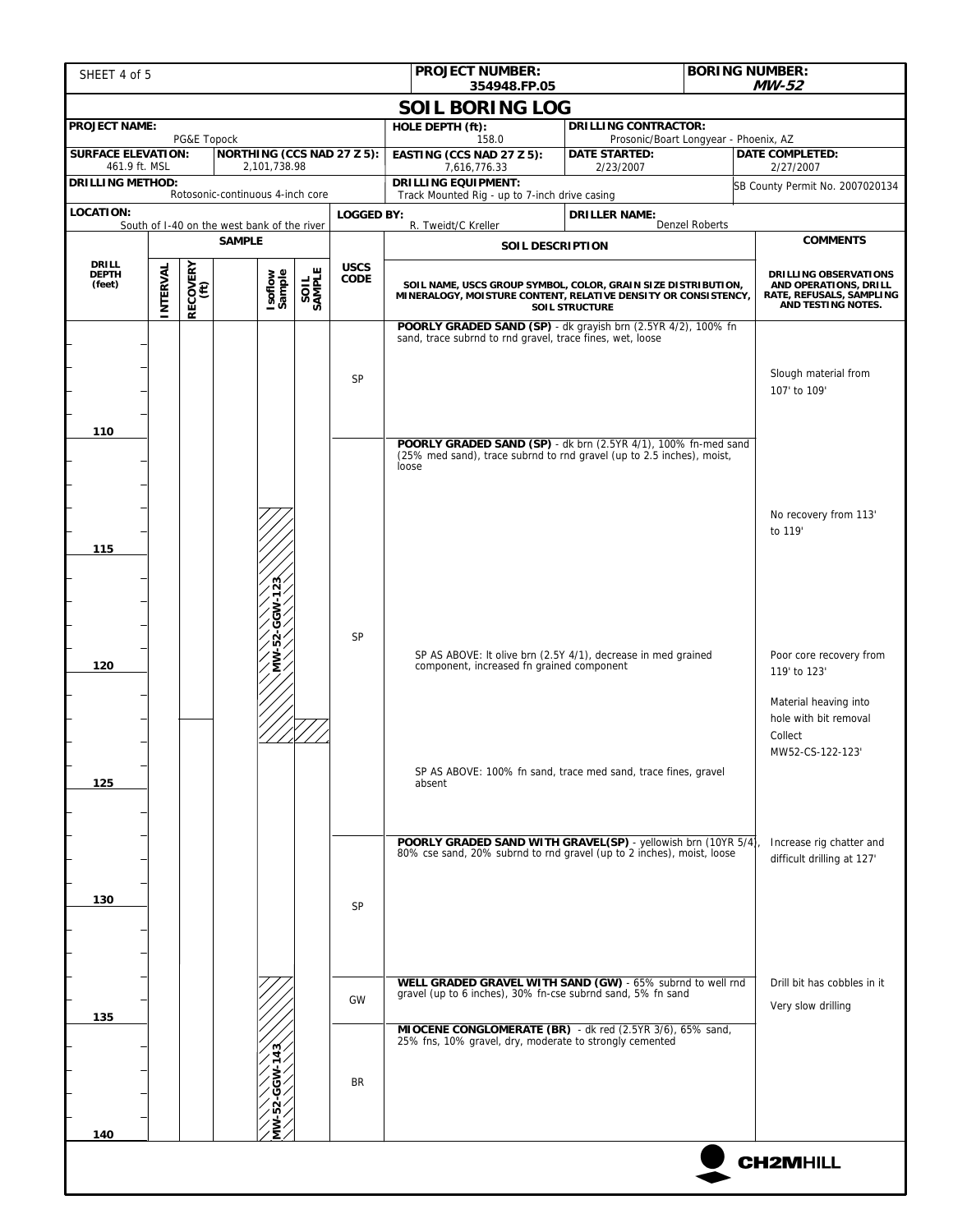| SHEET 4 of 5                                                           |          |                  |                                             |        |                   | <b>PROJECT NUMBER:</b><br><b>BORING NUMBER:</b><br>354948.FP.05                                                                 |                                                                                                                | $MW-52$               |                                                                         |
|------------------------------------------------------------------------|----------|------------------|---------------------------------------------|--------|-------------------|---------------------------------------------------------------------------------------------------------------------------------|----------------------------------------------------------------------------------------------------------------|-----------------------|-------------------------------------------------------------------------|
|                                                                        |          |                  |                                             |        |                   | <b>SOIL BORING LOG</b>                                                                                                          |                                                                                                                |                       |                                                                         |
| <b>PROJECT NAME:</b>                                                   |          |                  |                                             |        |                   | HOLE DEPTH (ft):                                                                                                                | <b>DRILLING CONTRACTOR:</b>                                                                                    |                       |                                                                         |
| PG&E Topock<br><b>SURFACE ELEVATION:</b><br>NORTHING (CCS NAD 27 Z 5): |          |                  |                                             |        |                   | 158.0<br>EASTING (CCS NAD 27 Z 5):                                                                                              | Prosonic/Boart Longyear - Phoenix, AZ<br><b>DATE STARTED:</b>                                                  |                       | <b>DATE COMPLETED:</b>                                                  |
| 461.9 ft. MSL<br>2,101,738.98<br><b>DRILLING METHOD:</b>               |          |                  |                                             |        |                   | 7,616,776.33                                                                                                                    | 2/23/2007                                                                                                      |                       | 2/27/2007                                                               |
| Rotosonic-continuous 4-inch core                                       |          |                  |                                             |        |                   |                                                                                                                                 | <b>DRILLING EQUIPMENT:</b><br>SB County Permit No. 2007020134<br>Track Mounted Rig - up to 7-inch drive casing |                       |                                                                         |
| LOCATION:                                                              |          |                  | South of I-40 on the west bank of the river |        | <b>LOGGED BY:</b> | R. Tweidt/C Kreller                                                                                                             | <b>DRILLER NAME:</b>                                                                                           | <b>Denzel Roberts</b> |                                                                         |
| <b>SAMPLE</b>                                                          |          |                  |                                             |        |                   | SOIL DESCRIPTION                                                                                                                |                                                                                                                |                       | <b>COMMENTS</b>                                                         |
| <b>DRILL</b><br><b>DEPTH</b>                                           |          |                  |                                             |        | <b>USCS</b>       |                                                                                                                                 |                                                                                                                |                       | <b>DRILLING OBSERVATIONS</b>                                            |
| (feet)                                                                 | INTERVAL | RECOVERY<br>(ft) | Isoflow<br>Sample                           | SAMPLE | <b>CODE</b>       | SOIL NAME, USCS GROUP SYMBOL, COLOR, GRAIN SIZE DISTRIBUTION,<br>MINERALOGY, MOISTURE CONTENT, RELATIVE DENSITY OR CONSISTENCY, | <b>SOIL STRUCTURE</b>                                                                                          |                       | AND OPERATIONS, DRILL<br>RATE, REFUSALS, SAMPLING<br>AND TESTING NOTES. |
|                                                                        |          |                  |                                             |        |                   | POORLY GRADED SAND (SP) - dk grayish brn (2.5YR 4/2), 100% fn                                                                   |                                                                                                                |                       |                                                                         |
|                                                                        |          |                  |                                             |        |                   | sand, trace subrnd to rnd gravel, trace fines, wet, loose                                                                       |                                                                                                                |                       |                                                                         |
|                                                                        |          |                  |                                             |        | SP                |                                                                                                                                 |                                                                                                                |                       | Slough material from                                                    |
|                                                                        |          |                  |                                             |        |                   |                                                                                                                                 |                                                                                                                |                       | 107' to 109'                                                            |
|                                                                        |          |                  |                                             |        |                   |                                                                                                                                 |                                                                                                                |                       |                                                                         |
| 110                                                                    |          |                  |                                             |        |                   | POORLY GRADED SAND (SP) - dk brn (2.5YR 4/1), 100% fn-med sand                                                                  |                                                                                                                |                       |                                                                         |
|                                                                        |          |                  |                                             |        |                   | (25% med sand), trace subrnd to rnd gravel (up to 2.5 inches), moist,<br>loose                                                  |                                                                                                                |                       |                                                                         |
|                                                                        |          |                  |                                             |        |                   |                                                                                                                                 |                                                                                                                |                       |                                                                         |
|                                                                        |          |                  |                                             |        |                   |                                                                                                                                 |                                                                                                                |                       | No recovery from 113'                                                   |
|                                                                        |          |                  |                                             |        |                   |                                                                                                                                 |                                                                                                                |                       | to 119'                                                                 |
| 115                                                                    |          |                  |                                             |        |                   |                                                                                                                                 |                                                                                                                |                       |                                                                         |
|                                                                        |          |                  | $\overline{23}$                             |        |                   |                                                                                                                                 |                                                                                                                |                       |                                                                         |
|                                                                        |          |                  |                                             |        |                   |                                                                                                                                 |                                                                                                                |                       |                                                                         |
|                                                                        |          |                  |                                             |        | SP                |                                                                                                                                 |                                                                                                                |                       |                                                                         |
|                                                                        |          |                  | MW-52-GGW-1                                 |        |                   | SP AS ABOVE: It olive brn (2.5Y 4/1), decrease in med grained                                                                   |                                                                                                                |                       | Poor core recovery from                                                 |
| 120                                                                    |          |                  |                                             |        |                   | component, increased fn grained component                                                                                       |                                                                                                                |                       | 119' to 123'                                                            |
|                                                                        |          |                  |                                             |        |                   |                                                                                                                                 |                                                                                                                |                       | Material heaving into                                                   |
|                                                                        |          |                  |                                             |        |                   |                                                                                                                                 |                                                                                                                |                       | hole with bit removal                                                   |
|                                                                        |          |                  |                                             |        |                   |                                                                                                                                 |                                                                                                                |                       | Collect<br>MW52-CS-122-123'                                             |
|                                                                        |          |                  |                                             |        |                   | SP AS ABOVE: 100% fn sand, trace med sand, trace fines, gravel                                                                  |                                                                                                                |                       |                                                                         |
| 125                                                                    |          |                  |                                             |        |                   | absent                                                                                                                          |                                                                                                                |                       |                                                                         |
|                                                                        |          |                  |                                             |        |                   |                                                                                                                                 |                                                                                                                |                       |                                                                         |
|                                                                        |          |                  |                                             |        |                   | POORLY GRADED SAND WITH GRAVEL(SP) - yellowish brn (10YR 5/4)                                                                   |                                                                                                                |                       | Increase rig chatter and                                                |
|                                                                        |          |                  |                                             |        |                   | 80% cse sand, 20% subrnd to rnd gravel (up to 2 inches), moist, loose                                                           |                                                                                                                |                       | difficult drilling at 127'                                              |
|                                                                        |          |                  |                                             |        |                   |                                                                                                                                 |                                                                                                                |                       |                                                                         |
| 130                                                                    |          |                  |                                             |        | SP                |                                                                                                                                 |                                                                                                                |                       |                                                                         |
|                                                                        |          |                  |                                             |        |                   |                                                                                                                                 |                                                                                                                |                       |                                                                         |
|                                                                        |          |                  |                                             |        |                   |                                                                                                                                 |                                                                                                                |                       |                                                                         |
|                                                                        |          |                  |                                             |        |                   | WELL GRADED GRAVEL WITH SAND (GW) - 65% subrnd to well rnd                                                                      |                                                                                                                |                       | Drill bit has cobbles in it                                             |
|                                                                        |          |                  |                                             |        | GW                | gravel (up to 6 inches), 30% fn-cse subrnd sand, 5% fn sand                                                                     |                                                                                                                |                       | Very slow drilling                                                      |
| 135                                                                    |          |                  |                                             |        |                   | MIOCENE CONGLOMERATE (BR) - dk red (2.5YR 3/6), 65% sand,                                                                       |                                                                                                                |                       |                                                                         |
|                                                                        |          |                  |                                             |        |                   | 25% fns, 10% gravel, dry, moderate to strongly cemented                                                                         |                                                                                                                |                       |                                                                         |
|                                                                        |          |                  |                                             |        | BR                |                                                                                                                                 |                                                                                                                |                       |                                                                         |
|                                                                        |          |                  |                                             |        |                   |                                                                                                                                 |                                                                                                                |                       |                                                                         |
|                                                                        |          |                  |                                             |        |                   |                                                                                                                                 |                                                                                                                |                       |                                                                         |
| 140                                                                    |          |                  |                                             |        |                   |                                                                                                                                 |                                                                                                                |                       |                                                                         |
|                                                                        |          |                  |                                             |        |                   |                                                                                                                                 |                                                                                                                |                       | <b>CH2MHILL</b>                                                         |
|                                                                        |          |                  |                                             |        |                   |                                                                                                                                 |                                                                                                                |                       |                                                                         |